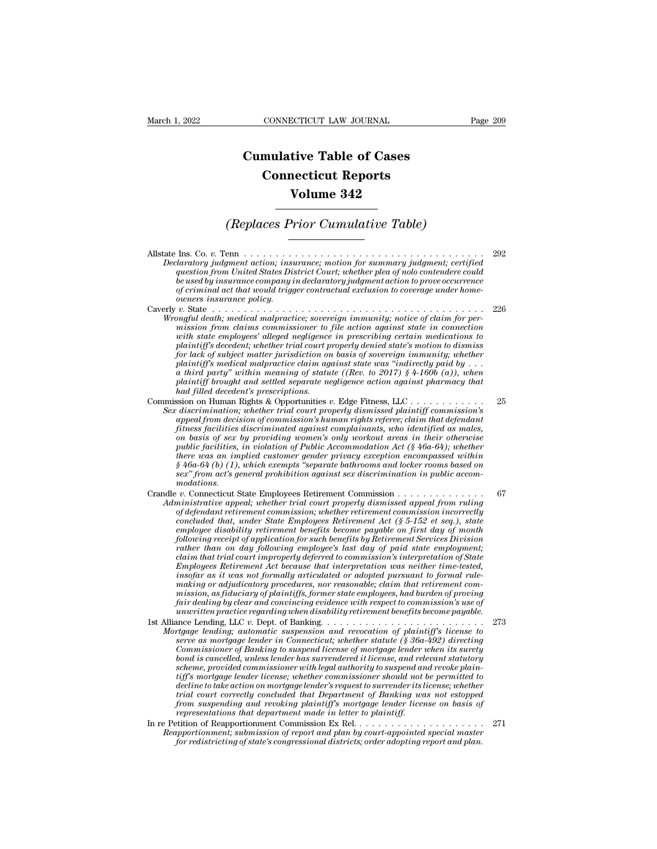## **CONNECTICUT LAW JOURNAL**<br> **Cumulative Table of Cases<br>
Connecticut Reports CONNECTICUT LAW JOURNAL**<br> **CONNECTICUT LAW JOURNAL**<br> **CONNECTICUT Reports<br>
Volume 342 ECTICUT LAW JOURNAL**<br> **Volume 342**<br> **Volume 342**<br> **Volume 342**<br> **Prior Cumulative Table) Cumulative Table of Cases<br>
Connecticut Reports<br>
Volume 342<br>
(Replaces Prior Cumulative Table)**

Allstate Ins. Co. *v.* Tenn . . . . . . . . . . . . . . . . . . . . . . . . . . . . . . . . . . . . . . <sup>292</sup>  $\begin{array}{c} \textbf{(Replace Prior Cumulative Table)} \ \textbf{(Replace Prior Cumulative Table)} \ \textbf{Dedator,} \ \textbf{Dedator,} \ \textbf{Dedator,} \ \textbf{Dedator,} \ \textbf{Dedator,} \ \textbf{Dedator,} \ \textbf{Dedator,} \ \textbf{Dedator,} \ \textbf{Dedator,} \ \textbf{Dedator,} \ \textbf{Dedator,} \ \textbf{Dedator,} \ \textbf{Dedator,} \ \textbf{Dedator,} \ \textbf{Dedator,} \ \textbf{Dedator,} \ \textbf{Dedator,} \ \textbf{Dendc} \ \textbf{Dedator,} \ \text$  $q_\text{max}$  (Replaces Prior Cumulative Table)<br> **and Court Court; the Court; whether plea** of noto contendere could<br>  $q_\text{test}$  (and the United States District Court; whether plea of noto contendere could<br>  $q_\text{test}$  by insurance *be used by insurance company in declaratory judgment action, insurance; motion for summary judgment; certified*<br>*question from United States District Court; whether plea of nolo contendere could be used by insurance compa* **of criminal act that would trigger contractual exclusion to coverage under home-**<br>*claratory judgment action; insurance; motion for summary judgment; certified*<br>question from United States District Court; whether plea of *owners insurance policing insurance policination; insurance expansion from United States Disputs in the used by insurance company in the used by insurance policy.<br>
<i>of criminal act that would trigg owners insurance policy* Allstate Ins. Co. v. Tenn<br>
Declaratory judgment action; insurance; motion for summary judgment; certified<br>
question from United States District Court; whether plea of nolo contendere could<br>
be used by insurance company in *MIstate Ins. Co. v. Tenn*<br> *Declaratory judgment action; insurance; motion for summary judgment; certified*<br> *question from United States District Court; whether plea of noto contendere could*<br> *be used by insurance compa mission from United States District Court, weether plea of nolo contendere could question from United States District Court, whether plea of nolo contendere could be used by insurance company in declaratory judgment actio westion from United Sides District Court, whether plea of noto contendere could be used by insurance company in declaratory judgment action to prove occurrence of criminal act that would trigger contractual exclusion to c player trial act that would trigger contractual exclusion to coverage under home-of criminal act that would trigger contractual exclusion to coverage under home-overage in our expansion and that we dismission from claims for lack of subject matter jurisdiction on basis of sovereign immunity; whether plaintiff* is mall matter policy.<br> *p* state  $\ldots$   $\ldots$   $\ldots$   $\ldots$   $\ldots$   $\ldots$   $\ldots$   $\ldots$   $\ldots$   $\ldots$   $\ldots$   $\ldots$   $\ldots$   $\ldots$   $\ldots$   $\ldots$   $\ldots$   $\ldots$   $\ldots$   $\ldots$   $\ldots$   $\ldots$   $\ldots$   $\ldots$   $\ldots$   $\ldots$   $\ldots$   $\ldots$   $\ldots$   $\$ *a third party'' within meaning of statute ((Rev. to 2017) § 4-160b (a)), when playing the death; medical matpractice; sovereign immunity; notice of claim for permission from claims commissioner to file action against state in connection with state employees' alleged regligence in prescribing certai is with state employees' alleged negligence in prescribing certain medications to* plaintiff's decedent; whether trial court properly denied state's motion to dismiss for lack of subject matter jurisdiction on basis of so Unit meant of secondary the property distribution on the preservoir property density for lack of subject matter jurisdiction on basis of sovereign immunity; whether plaintiff's medical malpractice claim against state was " plaintiff s acceaeni; whether trial court properly denied state's motion to dissintss<br>for lack of subject matter jurisdiction on basis of sovereign immunity; whether<br>plaintiff's medical malpractice claim against state was *por uck of subject matter jurisationo on basis of sovereign immunity; whether*<br>plaintiff's medical malpractice claim against state was "indirectly paid by<br>a hird party" within meaning of statute ((Rev. to 2017) § 4-160b ( paintiff s meatcul mappractice claim against state was "interfectly paid by . . .<br> *a third party"* within meaning of statute ((Rev. to 2017) § 4-160b (a)), when<br>
plaintiff brought and settled separate negligence action ag *on basis of sex by providing of statute* ((*Rev. to 2017*)  $\S$  4-1000 (*a)*), when<br>plaintiff brought and settled separate negligence action against pharmacy that<br>had filled decedent's prescriptions.<br>Sision on Human Rights putnity orought and settled separate negligence action against pharmacy that<br>
had filled decedent's prescriptions.<br>
siston on Human Rights & Opportunities v. Edge Fitness, LLC<br> *discrimination*; whether trial court properl *there was an implied customer gender privacy exception encompassed within* **Example 11**, whether trial court properly dismissed plaintiff commission's<br> *discrimination*; whether trial court properly dismissed plaintiff commission's<br> *appeal from decision of commission's human rights referee; cla sexten action of commission's human rights referee; claim that defendant fitness facilities discriminated against complainants, who identified as males, finding on basis of sex by providing women's only workout areas in t modations.* These facturizes are reminded against computations, and detution is material on the pair on basis of sex by providing women's only workout areas in their otherwise public facilities, in violation of Public Accommodation Ac *At the court of the initial commodation of Public Accommodation Act (§ 46a-64 (b)* (*Accommodation of Public Accommodation Act (§ 46a-64 (b)* (1), which exempts "separate bathrooms and locker rooms based on sex" from act puote jacuties, in violation of Puote Accommodation Act (§ 40d-04); whether<br>
there was an implied customer gender privacy exception encompossed within<br>
§ 46a-64 (b) (1), which exempts "separate bathrooms and locker rooms b *concluded that, under State Employees Retirement Act (§ 5-152 et seq.), state employee disability retirement benefits separate disability and tocker rooms based on*<br> *exary* from act's general prohibition against sex discrimination in public accom-<br> *modations.*<br> *v*. Connecticut State Employees Re *following receipt of application for such benefits by Retirement Services Division rather than on day following employee's last day of paid state employment; claim that trial court improperly deferred to commission's interpretation of State Innustrative appeal; whether trad court property dismissed appeal from ruling*<br> *Concluded that, under State Employees Retirement commission incorrectly<br>
concluded that, under State Employees Retirement det (§ 5-152 et se* of defendant retirement commission; whether retirement commission incorrectly<br>concluded that, under State Employees Retirement Act (§ 5-152 et seq.), state<br>employee disability retirement benefits become payable on first da *concluded that, under State Employees Retirement Act (§ 5-152 et seq.), state employee disability retirement benefits become payable on first day of month* following *receipt of application for such benefits by Retireme employee assabuty retirement benefits become payable on first day of month*<br>following receipt of application for such benefits by Retirement Services Division<br>rather than on day following employee's last day of paid state *following receipt of application for such benefits by Retirement Services Division*<br>rather than on day following employee's last day of paid state employment;<br>claim that trial court improperly deferred to commission's int *rather than on day jollowing employee's last day of paid state employment;*<br>claim that trial court improperly deferred to commission's interpretation of State<br>*Employees Retirement Act because that interpretation was neit* From that trial count imploperly arger real to commission is the represented,<br>
Employees Retirement Act because that interpretation was neither time-tested,<br>
insofar as it was not formally articulated or adopted pursuant t *Mortgage lending; automatic suspension and retrievation was neuter time-usine making or adjudicatory procedures, nor reasonable; claim that retirement commission, as fiduciary of plaintiffs, former state employees, had bu server as a mortgage lender in gardinal or diapped parsidant to jornal rate-making or adjuticatory procedures, nor reasonable; claim that retirement commission, as fiduciary of plaintiffs, former state employees, had burd Commissioner, and following procedures, nor reasonable; carm that retirement commission, as fiduciary of plaintiffs, former state employes, had burden of proving fair dealing by clear and convincing evidence with respect bond is grand is grammage in purinty* and the employees, nad ourden of proving  $\alpha$  fair dealing by clear and convincing evidence with respect to commission's use of unwritten practice regarding when disability retirement furn acturing by clear and conventing evidence with respect to commission's use of<br>unwritten practice regarding when disability retirement benefits become payable.<br>Ince Lending, LLC v. Dept. of Banking. . . . . . . . . . . *tiff is mortgage lender is showning the commissioner in the permitted to the trigage lender in Connectical, whether statute (§ 36a-492) directing serve as mortgage lender in Connecticut, whether statute (§ 36a-492) direct decline to take actions, the to take action on more to the infrarection of plaintiff's license to the serve as mortgage lender in Comnession and revocation of plaintiff's license to surrender in Commissioner of Banking to trigage lending; automatic suspension and revocation of plaintiff's license to*<br>*serve as mortgage lender in Connecticut; whether statute (§ 36a-492) directing<br>Commissioner of Banking to suspend license of mortgage lender from suspending and revoking to suspending the statute (§ 36a-492) directing*<br> *form sissioner of Banking to suspend license of mortgage lender when its surety*<br> *bond is cancelled, unless lender has surrendered it licens Commissioner of Banking to suspend ticense of mortgage lender i*<br> *bond is cancelled, unless lender has surrendered it license, and rela<br>
scheme, provided commissioner with legal authority to suspend an<br>
tiff's mortgage l* Form suspending and revoking plaintiffs and reaction of the existence of the permitted and revoke plain-<br>tiff's mortigage lender license; whether commissioner should not be permitted to<br>decline to take action on mortgage l *Reapportionment commissioner with legal adduority to suspend and revoke platitif's mortgage lender iccense; whether commissioner should not be permitted to decline to take action on mortgage lender's request to surrender for a mortgage tender ticense; whener commissioner should not be permitted to decline to take action on mortgage lender's request to surrender its license; whether the trial court correctly concluded that Department of Ba*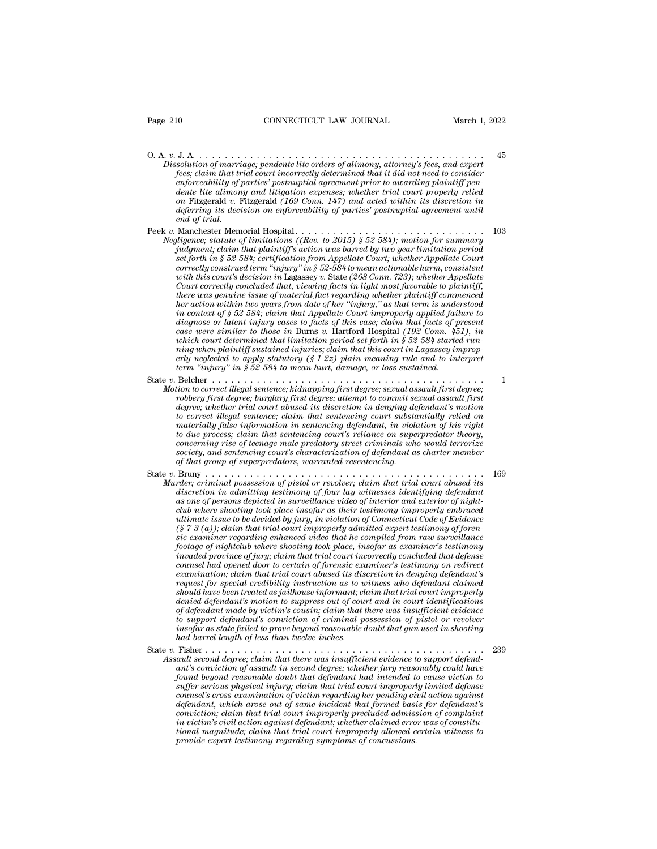O. A. *<sup>v</sup>*. J. A. . . . . . . . . . . . . . . . . . . . . . . . . . . . . . . . . . . . . . . . . . . . . . <sup>45</sup> *Physical CONNECTICUT LAW JOURNAL March 1, 2022*<br> *Dissolution of marriage; pendente lite orders of alimony, attorney's fees, and expert*<br> *Jess, claim that trial court incorrectly determined that it did not need to consid fees; claim that trial court incorrectly determined that it did not need to considerable incorrectly determined that it did not need to consider fees; claim that trial court incorrectly determined that it did not need to enforceability of partiests, enforceability of partiests, enforceability of partial court incorrectly determined that it did not need to consider thes, claim that trial court incorrectly determined that it did not need to denterially and the lite alimony, attorney's fees, and experiences; claim that trial court incorrectly determined that it did not need to consider enforceability of parties' postnuptial agreement prior to awarding plainti on* Fitzgerald *v.* Fitzgerald *(169 Conn. 147) and acted within its discretion in definition of marriage; pendente lite orders of alimony, attorney's fees, and expert* fees, claim that trial court incorrectly determined that it did not need to consider enforceability of parties' postnuptial agreement p 0. A. v. J. A.<br> *Dissolution of marriage; pendente lite orders of alimony, attorney's fees, and expert*<br> *fees; claim that trial court incorrectly determined that it idd not need to consider*<br> *enforceability of parties' Sessidation of marriag, practiculate and otherwine in the set of diath that trial court incorrectly determined that it did not need to consider enforceability of parties' postmuptial agreement prior to awarding plaintiff Negligence; statute of limitations ((Rev. to 2015) § 52-584); motion for summary nd intigrement prior to avarding plaintiff pendente lite alimony and litigation expenses; whether trial court properly relied on Fitzgeral judition is a particular increase; whether trial court property relied*<br> *dente lite alimony and litigation expenses; whether trial court property relied*<br> *on* Fitzgerald v. Fitzgerald (169 Conn. 147) and acted within it

*on* Fitzgerald *v*. Fitzgerald (169 Conn. 147) and acted within its discretion in deferring its decision on enforceability of parties' postmuptial agreement until end of trial.<br>
Manchester Memorial Hospital.<br>
Manchester *correctly at the decision on enforceability of parties' postnuptial agreement until*<br>*correctly is decision on enforceability of parties' postnuptial agreement until*<br>*end of trial.*<br>Manchester Memorial Hospital.......... *with this court's decision in* Lagassey *v.* State *(268 Conn. 723); whether Appellate Court correctly concluded that, i.e.*  $\ldots$  *Court correctly concluded that, and checks faction to injudgment; claim that plaintiff's action was barred by two year limitation period set forth in § 52-584; certification fr Manchester Memorial Hospital.......*  $103$ <br> *thigence*; statute of limitations ((Rev. to 2015) § 52-584); motion for summary<br>  $judgment$ ; daim that plaintiff's action was barred by two year limitation period<br>  $set$  forth in § *htgence; statute of tmutations ((Kev. to 2015) § 52-584); motion for summary*<br>*judgment; claim that plaintiff's action was barred by two year limitation periods*<br>*set forth in § 52-584; certification from Appellate Court; pudgment; claim that plaintiff's action was barred by two year limitation period*<br>set forth in § 52-584; certification from Appellate Court; whether Appellate Court<br>correctly construed term "injury" in § 52-584 to mean ac *diagnose or latent injury"* in \$52-584; certification from Appellate Court; whether Appellate Court<br>correctly construed term "injury" in \$52-584 to mean actionable harm, consistent<br>with this court's decision in Lagassey v *correctly construed term "injury" in § 52-584 to mean actionable harm, consistent* with this court's decision in Lagassey v. State (268 Conn. 723); whether Appellate Court correctly conducted that, viewing facts in light *with this court's decision in Lagassey v. State (268 Conn. 723); whether Appellate* Court correctly concluded that, viewing facts in light most favorable to plaintiff, there was genuine issue of material fact regarding wh *Court correctly concluded that, viewing facts in light most favorable to plaintiff,* there was genuine issue of material fact regarding whether plaintiff commenced her action within two years from date of her "injury," as *there was genume issue of materal fact regarding whether plaintiff commenced her action within two years from date of her "injury," as that term is understood in context of § 52-584*; *claim that Appellate Court impro in context of § 52-584*; *claim that Appellate Court improperly applied failure to diagnose or latent injury cases to facts of this case; <i>claim that facts of present case were similar to those in Burns v.* Hartford Ho diagnose or latent injury cases to facts of this case; claim that facts of present<br>case were similar to those in Burns v. Hartford Hospital (192 Conn. 451), in<br>which court determined that limitation period set forth in § 5 *Motion to correct illegal sentence; kidnapping first degree; sexual assault first degree; roblering when plaintiff sustained injuries; claim that this court in Lagassey improperly neglected to apply statutory (§ 1-22) pla robbery first degree; burglary first degree; attention period set forth in § 52-584 started run-<br>ning when plaintiff sustained injuries; claim that this court in Lagassey improperly neglected to apply statutory (§ 1-22) p* 

*denote is an accurmental and influences provides to you as your and this court in Lagassey improperly neglected to apply statutory* ( $\S 1-2z$ ) plain meaning rule and to interpret<br>term "injury" in  $\S 52-584$  to mean hurt, *to correct illegal sentence; claim that sentencing court in Lagisson enforce; claim meaning rule and to interpret*<br> *term* "injury" in § 52-584 to mean hurt, damage, or loss sustained.<br> **Belcher** ......................... *materially in § 52-584 to mean hurt, damage, or loss sustained.*<br> **Belcher**  $\cdots$   $\cdots$   $\cdots$   $\cdots$   $\cdots$   $\cdots$   $\cdots$   $\cdots$   $\cdots$   $\cdots$   $\cdots$   $\cdots$   $\cdots$   $\cdots$   $\cdots$   $\cdots$   $\cdots$   $\cdots$   $\cdots$   $\cdots$   $\cdots$   $\cdots$   $\cdots$   $\cdots$  *to due to due to due to due that sentencing court's calcedor that sentencing correct illegal sentence; kidnapping first degree; sexual assault first degree; robbery first degree; burglary first degree; attempt to commit s* Belcher<br> *correct illegal sentence; kidnapping first degree; sexual assault first degree; attempt to correct illegal sentence; burglary first degree; attempt to commit sexual assault first<br>
<i>chopery first degree; whether t show to correct ulegal sentence; kudnapping first degree; sexual assault first degree; robbery first degree; burglary first degree; attempt to commit sexual assault first degree; whether trial court abused its discretion* robbery first degree; burglary first degree; attempt to commit se<br>degree; whether trial court abused its discretion in denying de<br>to correct illegal sentence; claim that sentencing court substant<br>materially false informati state *v*. correct illegal sentence; claim that sentencing court substantially relied on<br>materially false information in sentencing defendant, in violation of his right<br>to due process; claim that sentencing court's relianc *Murder; criminal possession of pistol, calim that sentencing defendant, in violation of his right* to due process; claim that sentencing court's reliance on superpredator theory, concerning rise of teenage male predatory *discretion in admitting testimony is reliance* on superpredator theory,<br>concerning rise of teenage male predatory street criminals who would terrorize<br>society, and sentencing court's characterization of defendant as chart

*as one of persons, calm data schetching coart is 'cluated in surperpredatory street criminals who would terrorize*<br>society, and sentencing court's characterization of defendant as charter member<br>of that group of superpred  $\overline{c}$ *contrigual set given*  $\overline{c}$  and sentencing court's characterization of defendant as charter member<br>of that group of superpredators, warranted resentencing.<br> $\overline{c}$ <br> $\overline{c}$   $\overline{c}$   $\overline{c}$   $\overline{c}$   $\overline{c}$ *ultimate issue to be decided by jury, in violation of Connecticut Code of Evidence (§ 7-3 (a)); claim that trial court improperly admitted expert testimony of forensic examiner regarding enhanced video that he compiled from raw surveillance for the mind possession of pistol or revolver; claim that trial court abused its*<br>discretion in admitting testimony of four lay witnesses identifying defendant<br>as one of persons depicted in surveillance video of interior *discretion in admitting testimony of four lay witnesses identifying defendant* as one of persons depicted in surveillance video of interior and exterior of night-club where shooting took place insofar as their testimony i as one of persons depicted in surveillance video of interior and exterior of night-<br>club where shooting took place insofar as their testimony improperly embraced<br>ultimate issue to be decided by jury, in violation of Connec *examination; claim took place insofar as their testimony improperty embraced* ultimate issue to be decided by jury, in violation of Connecticut Code of Evidence (§  $7.3$  Co); claim that trial court improperty damitted exp *request for special credital credit instrument in the complete of*  $\S$   $7-3$  (a)); claim that trial court improperly admitted expert testimony of forencies  $\hat{\epsilon}$  examiner regarding enhanced video that he compiled from r (§ 7-3 (a)); clarm that trial court improperty admitted expert testimony of foren-<br>sic examiner regarding enhanced video that he compiled from raw surveillance<br>footage of nightclub where shooting took place, insofar as exa *sic exammer regarding enhanced video that he compiled from raw surveillance*<br>footage of nightclub where shooting took place, insofar as examiner's testimony<br>invaded province of jury; claim that trial court incorrectly con *footage of nightclub where shooting took place, insofar as examiner's testimony*<br> *invaded province of jury; claim that trial court incorrectly concluded that defense<br>
ccansel had opened door to certain of forensic examin throuded province of jury; claim that trial court incorrectly concluded that defense*<br>counsel had opened door to certain of forensic examiner's testimony on redirect<br>examination; claim that trial court abused its discreti *counsel had opened door to certain of forensic examiner's testimony on redirect*<br>examination, claim that trial court abused its discretion in denying defendant's<br>request for special credibility instruction as to witness w *examination, claim that trial court abused its dissoudh have been treated as jailhouse informant; claim should have been treated as jailhouse informant; claim definition of defendant made by victim's cousin; claim that to* should have been treated as jailhouse informant; claim that trial court improperly<br>denied defendant's motion to suppress out-of-court and in-court identifications<br>of defendant made by victim's cousin; claim that there was *Assault in a state formant; claim that trial court improperly<br>denied defendant's motion to suppress out-of-court and in-court identifications*<br>of defendant made by victim's cousin; claim that there was insufficient eviden *antiau any hauthers moved to suppross an ayout and the court and to comport defendant made by victim's conviction of criminal possession of pistol or revolver insofar as state failed to prove beyond reasonable doubt that* 

*found beyond defendant's conviction of criminal possession of pistol or revolver*<br>insofar as state failed to prove beyond reasonable doubt that gun used in shooting<br>had barrel length of less than twelve inches.<br>Fisher  $\$ *suffer as state failed to prove beyond reasonable doubt that gun used in shooting*<br>*had barrel length of less than twelve inches.*<br>Fisher  $\ldots$   $\ldots$   $\ldots$   $\ldots$   $\ldots$   $\ldots$   $\ldots$   $\ldots$   $\ldots$   $\ldots$   $\ldots$   $\ldots$   $\ldots$   $\ldots$ *counsel's cross-examination of victim regarding two examination of asset that degree; claim that there was insufficient evidence to support defendant's conviction of assault in second degree; whether jury reasonably could define that defendant aroses than tastic mass insufficient evidence to support defendant's conviction of assault in second degree; whether jury reasonably could have found beyond reasonable doubt that defendant had intend condition; condity conviction; claim that there was insufficient evidence to support defendant's conviction of assault in second degree; whether jury reasonably could have found beyond reasonable doubt that defendant had* ault second degree; claim that there was insufficient evidence to support defendant's conviction of assault in second degree; whether jury reasonably could have found beyond reasonable doubt that defendant had intended to ant's conviction of assault in second degree; whether jury reasonably could have found beyond reasonable doubt that defendant had intended to cause victim to suffer serious physical injury; claim that trial court improperl found beyond reasonable doubt that defendant had intended to suffer serious physical injury; claim that trial court impropert counsel's cross-examination of victim regarding the pending circle defendant, which arose out of